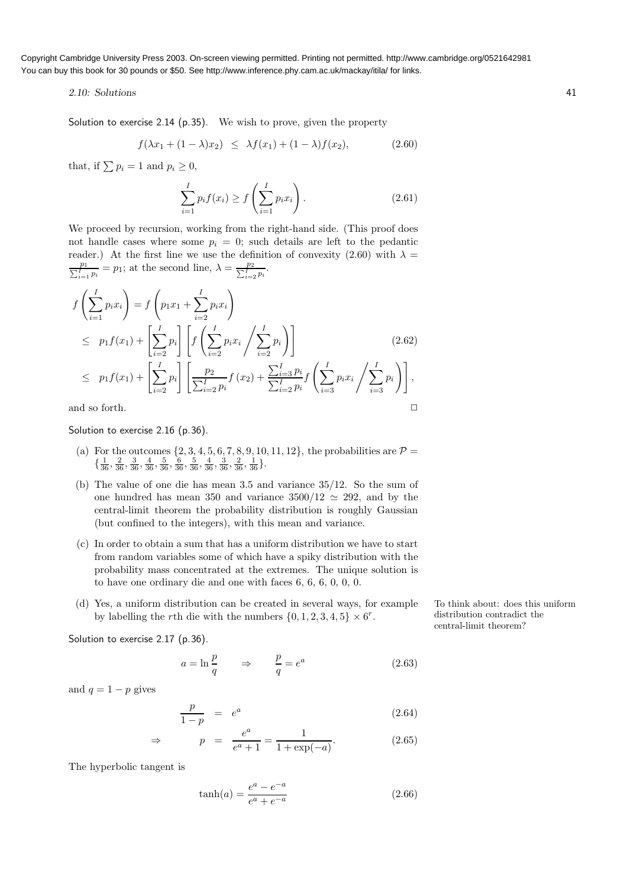## 2.10: Solutions 41

Solution to exercise 2.14 (p.35). We wish to prove, given the property

$$
f(\lambda x_1 + (1 - \lambda)x_2) \leq \lambda f(x_1) + (1 - \lambda)f(x_2), \tag{2.60}
$$

that, if  $\sum p_i = 1$  and  $p_i \geq 0$ ,

$$
\sum_{i=1}^{I} p_i f(x_i) \ge f\left(\sum_{i=1}^{I} p_i x_i\right).
$$
 (2.61)

We proceed by recursion, working from the right-hand side. (This proof does not handle cases where some  $p_i = 0$ ; such details are left to the pedantic reader.) At the first line we use the definition of convexity (2.60) with  $\lambda =$ P  $\frac{p_1}{p_1} p_i = p_1$ ; at the second line,  $\lambda = \frac{p_2}{\sum_{i=2}^T p_i}$ .

$$
f\left(\sum_{i=1}^{I} p_{i}x_{i}\right) = f\left(p_{1}x_{1} + \sum_{i=2}^{I} p_{i}x_{i}\right)
$$
  
\n
$$
\leq p_{1}f(x_{1}) + \left[\sum_{i=2}^{I} p_{i}\right] \left[ f\left(\sum_{i=2}^{I} p_{i}x_{i}\middle/\sum_{i=2}^{I} p_{i}\right) \right]
$$
  
\n
$$
\leq p_{1}f(x_{1}) + \left[\sum_{i=2}^{I} p_{i}\right] \left[\frac{p_{2}}{\sum_{i=2}^{I} p_{i}} f(x_{2}) + \frac{\sum_{i=3}^{I} p_{i}}{\sum_{i=2}^{I} p_{i}} f\left(\sum_{i=3}^{I} p_{i}x_{i}\middle/\sum_{i=3}^{I} p_{i}\right) \right],
$$
  
\nand so forth.

Solution to exercise 2.16 (p.36).

- (a) For the outcomes  $\{2, 3, 4, 5, 6, 7, 8, 9, 10, 11, 12\}$ , the probabilities are  $\mathcal{P} =$  $\{\frac{1}{36}, \frac{2}{36}, \frac{3}{36}, \frac{4}{36}, \frac{5}{36}, \frac{6}{36}, \frac{5}{36}, \frac{4}{36}, \frac{3}{36}, \frac{2}{36}, \frac{1}{36}\}.$
- (b) The value of one die has mean 3.5 and variance 35/12. So the sum of one hundred has mean 350 and variance  $3500/12 \approx 292$ , and by the central-limit theorem the probability distribution is roughly Gaussian (but confined to the integers), with this mean and variance.
- (c) In order to obtain a sum that has a uniform distribution we have to start from random variables some of which have a spiky distribution with the probability mass concentrated at the extremes. The unique solution is to have one ordinary die and one with faces 6, 6, 6, 0, 0, 0.
- (d) Yes, a uniform distribution can be created in several ways, for example To think about: does this uniform by labelling the *r*th die with the numbers  $\{0, 1, 2, 3, 4, 5\} \times 6^r$ .

Solution to exercise 2.17 (p.36).

$$
a = \ln \frac{p}{q} \qquad \Rightarrow \qquad \frac{p}{q} = e^a \tag{2.63}
$$

and  $q = 1 - p$  gives

$$
\frac{p}{1-p} = e^a \tag{2.64}
$$

$$
\Rightarrow \qquad p = \frac{e^a}{e^a + 1} = \frac{1}{1 + \exp(-a)}.\tag{2.65}
$$

The hyperbolic tangent is

$$
\tanh(a) = \frac{e^a - e^{-a}}{e^a + e^{-a}}\tag{2.66}
$$

distribution contradict the central-limit theorem?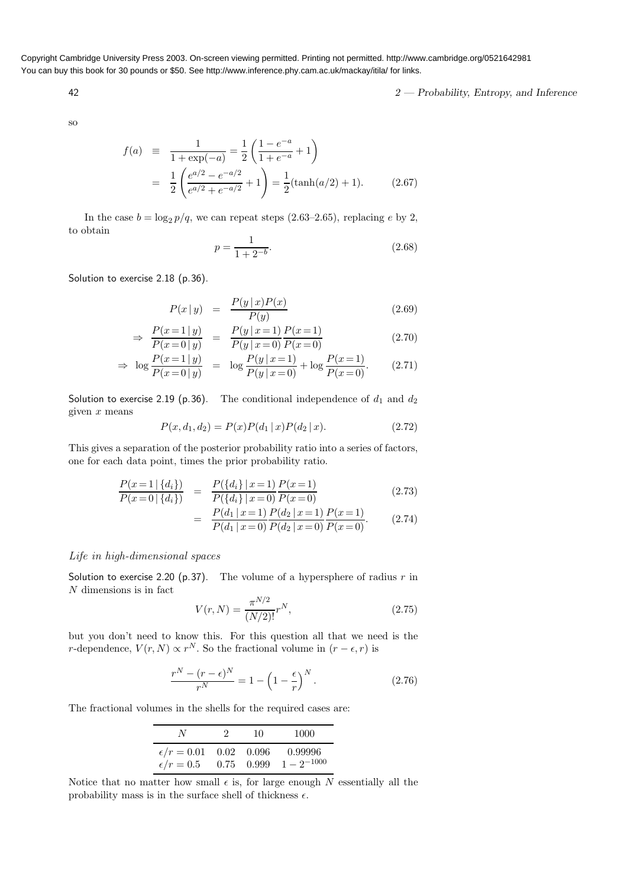42 2 Probability, Entropy, and Inference

so

$$
f(a) \equiv \frac{1}{1 + \exp(-a)} = \frac{1}{2} \left( \frac{1 - e^{-a}}{1 + e^{-a}} + 1 \right)
$$
  
= 
$$
\frac{1}{2} \left( \frac{e^{a/2} - e^{-a/2}}{e^{a/2} + e^{-a/2}} + 1 \right) = \frac{1}{2} (\tanh(a/2) + 1).
$$
 (2.67)

In the case  $b = \log_2 p/q$ , we can repeat steps (2.63–2.65), replacing e by 2, to obtain

$$
p = \frac{1}{1 + 2^{-b}}.\tag{2.68}
$$

Solution to exercise 2.18 (p.36).

$$
P(x \mid y) = \frac{P(y \mid x)P(x)}{P(y)} \tag{2.69}
$$

$$
\Rightarrow \frac{P(x=1|y)}{P(x=0|y)} = \frac{P(y|x=1)}{P(y|x=0)} \frac{P(x=1)}{P(x=0)}
$$
(2.70)

$$
\Rightarrow \log \frac{P(x=1|y)}{P(x=0|y)} = \log \frac{P(y|x=1)}{P(y|x=0)} + \log \frac{P(x=1)}{P(x=0)}.
$$
 (2.71)

Solution to exercise 2.19 (p.36). The conditional independence of  $d_1$  and  $d_2$ given  $x$  means

$$
P(x, d_1, d_2) = P(x)P(d_1 | x)P(d_2 | x).
$$
\n(2.72)

This gives a separation of the posterior probability ratio into a series of factors, one for each data point, times the prior probability ratio.

$$
\frac{P(x=1 | \{d_i\})}{P(x=0 | \{d_i\})} = \frac{P(\{d_i\} | x=1)}{P(\{d_i\} | x=0)} \frac{P(x=1)}{P(x=0)}
$$
\n(2.73)

$$
= \frac{P(d_1 | x=1)}{P(d_1 | x=0)} \frac{P(d_2 | x=1)}{P(d_2 | x=0)} \frac{P(x=1)}{P(x=0)}.
$$
 (2.74)

## Life in high-dimensional spaces

Solution to exercise 2.20 (p.37). The volume of a hypersphere of radius  $r$  in N dimensions is in fact  $\frac{1}{2}$ 

$$
V(r,N) = \frac{\pi^{N/2}}{(N/2)!}r^N,
$$
\n(2.75)

but you don't need to know this. For this question all that we need is the r-dependence,  $V(r, N) \propto r^N$ . So the fractional volume in  $(r - \epsilon, r)$  is

$$
\frac{r^N - (r - \epsilon)^N}{r^N} = 1 - \left(1 - \frac{\epsilon}{r}\right)^N.
$$
\n(2.76)

The fractional volumes in the shells for the required cases are:

| N.                                                              | 10 | 1000                     |
|-----------------------------------------------------------------|----|--------------------------|
| $\epsilon/r = 0.01$ 0.02 0.096<br>$\epsilon/r = 0.5$ 0.75 0.999 |    | 0.99996<br>$1-2^{-1000}$ |

Notice that no matter how small  $\epsilon$  is, for large enough N essentially all the probability mass is in the surface shell of thickness  $\epsilon$ .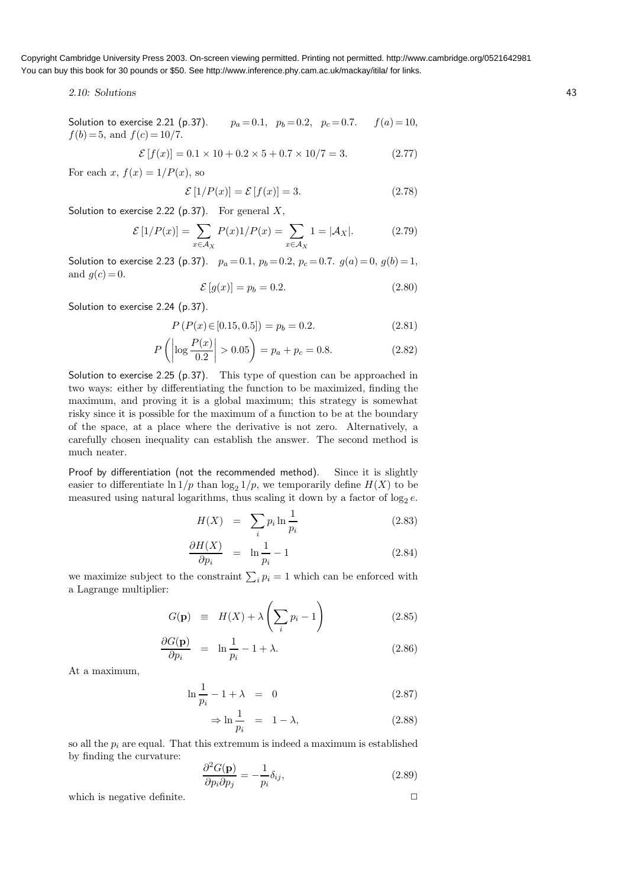2.10: Solutions 43

Solution to exercise 2.21 (p.37).  $p_a = 0.1$ ,  $p_b = 0.2$ ,  $p_c = 0.7$ .  $f(a) = 10$ ,  $f(b) = 5$ , and  $f(c) = 10/7$ .

$$
\mathcal{E}[f(x)] = 0.1 \times 10 + 0.2 \times 5 + 0.7 \times 10/7 = 3. \tag{2.77}
$$

For each x,  $f(x) = 1/P(x)$ , so

$$
\mathcal{E}[1/P(x)] = \mathcal{E}[f(x)] = 3.
$$
\n(2.78)

Solution to exercise 2.22 (p.37). For general  $X$ ,

$$
\mathcal{E}\left[1/P(x)\right] = \sum_{x \in \mathcal{A}_X} P(x)1/P(x) = \sum_{x \in \mathcal{A}_X} 1 = |\mathcal{A}_X|.
$$
 (2.79)

Solution to exercise 2.23 (p.37).  $p_a = 0.1$ ,  $p_b = 0.2$ ,  $p_c = 0.7$ .  $q(a) = 0$ ,  $q(b) = 1$ , and  $g(c) = 0$ .

$$
\mathcal{E}\left[g(x)\right] = p_b = 0.2.\tag{2.80}
$$

Solution to exercise 2.24 (p.37).

$$
P(P(x) \in [0.15, 0.5]) = p_b = 0.2. \tag{2.81}
$$

$$
P\left(\left|\log\frac{P(x)}{0.2}\right| > 0.05\right) = p_a + p_c = 0.8.\tag{2.82}
$$

Solution to exercise 2.25 (p.37). This type of question can be approached in two ways: either by differentiating the function to be maximized, finding the maximum, and proving it is a global maximum; this strategy is somewhat risky since it is possible for the maximum of a function to be at the boundary of the space, at a place where the derivative is not zero. Alternatively, a carefully chosen inequality can establish the answer. The second method is much neater.

Proof by differentiation (not the recommended method). Since it is slightly easier to differentiate  $\ln 1/p$  than  $\log_2 1/p$ , we temporarily define  $H(X)$  to be measured using natural logarithms, thus scaling it down by a factor of  $\log_2 e$ .

$$
H(X) = \sum_{i} p_i \ln \frac{1}{p_i} \tag{2.83}
$$

$$
\frac{\partial H(X)}{\partial p_i} = \ln \frac{1}{p_i} - 1 \tag{2.84}
$$

we maximize subject to the constraint  $\sum_i p_i = 1$  which can be enforced with a Lagrange multiplier:

$$
G(\mathbf{p}) \equiv H(X) + \lambda \left(\sum_{i} p_i - 1\right) \tag{2.85}
$$

$$
\frac{\partial G(\mathbf{p})}{\partial p_i} = \ln \frac{1}{p_i} - 1 + \lambda. \tag{2.86}
$$

At a maximum,

$$
\ln \frac{1}{p_i} - 1 + \lambda = 0 \tag{2.87}
$$

$$
\Rightarrow \ln \frac{1}{p_i} = 1 - \lambda, \tag{2.88}
$$

so all the  $p_i$  are equal. That this extremum is indeed a maximum is established by finding the curvature:  $\alpha$ 

$$
\frac{\partial^2 G(\mathbf{p})}{\partial p_i \partial p_j} = -\frac{1}{p_i} \delta_{ij},\tag{2.89}
$$

which is negative definite.  $\Box$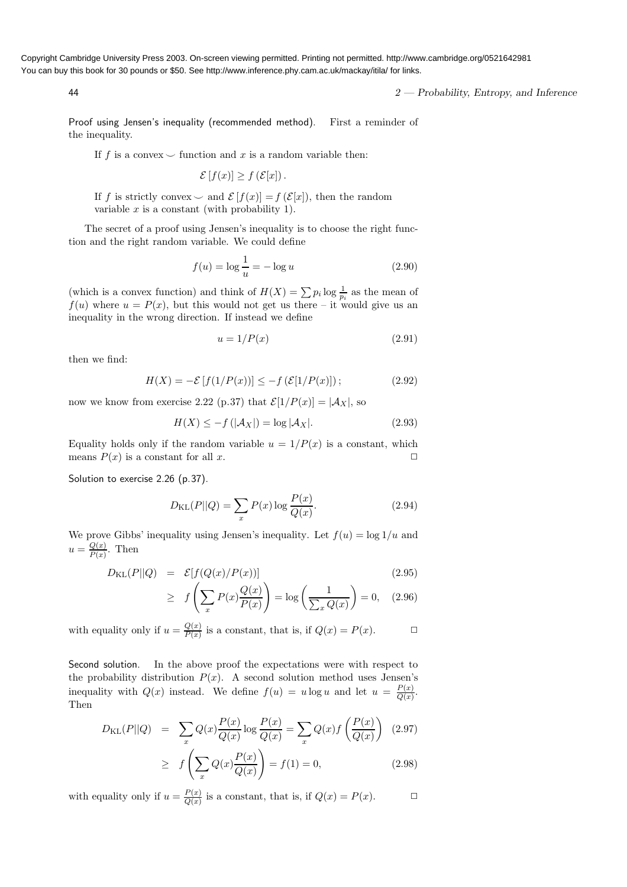44 2 — Probability, Entropy, and Inference

Proof using Jensen's inequality (recommended method). First a reminder of the inequality.

If f is a convex  $\smile$  function and x is a random variable then:

$$
\mathcal{E}[f(x)] \ge f(\mathcal{E}[x]).
$$

If f is strictly convex  $\smile$  and  $\mathcal{E}[f(x)] = f(\mathcal{E}[x])$ , then the random variable  $x$  is a constant (with probability 1).

The secret of a proof using Jensen's inequality is to choose the right function and the right random variable. We could define

$$
f(u) = \log \frac{1}{u} = -\log u \tag{2.90}
$$

(which is a convex function) and think of  $H(X) = \sum p_i \log \frac{1}{p_i}$  as the mean of  $f(u)$  where  $u = P(x)$ , but this would not get us there – it would give us an inequality in the wrong direction. If instead we define

$$
u = 1/P(x) \tag{2.91}
$$

then we find:

$$
H(X) = -\mathcal{E}[f(1/P(x))] \le -f(\mathcal{E}[1/P(x)]); \tag{2.92}
$$

now we know from exercise 2.22 (p.37) that  $\mathcal{E}[1/P(x)] = |\mathcal{A}_X|$ , so

$$
H(X) \le -f(|\mathcal{A}_X|) = \log |\mathcal{A}_X|.
$$
\n(2.93)

Equality holds only if the random variable  $u = 1/P(x)$  is a constant, which means  $P(x)$  is a constant for all x.  $\square$ 

Solution to exercise 2.26 (p.37).

$$
D_{\text{KL}}(P||Q) = \sum_{x} P(x) \log \frac{P(x)}{Q(x)}.\tag{2.94}
$$

We prove Gibbs' inequality using Jensen's inequality. Let  $f(u) = \log 1/u$  and  $u = \frac{Q(x)}{P(x)}$  $\frac{Q(x)}{P(x)}$ . Then

$$
D_{\text{KL}}(P||Q) = \mathcal{E}[f(Q(x)/P(x))]
$$
\n(2.95)

$$
\geq f\left(\sum_{x} P(x) \frac{Q(x)}{P(x)}\right) = \log\left(\frac{1}{\sum_{x} Q(x)}\right) = 0, \quad (2.96)
$$

with equality only if  $u = \frac{Q(x)}{P(x)}$  $\frac{Q(x)}{P(x)}$  is a constant, that is, if  $Q(x) = P(x)$ .  $\Box$ 

Second solution. In the above proof the expectations were with respect to the probability distribution  $P(x)$ . A second solution method uses Jensen's inequality with  $Q(x)$  instead. We define  $f(u) = u \log u$  and let  $u = \frac{P(x)}{Q(x)}$  $rac{F(x)}{Q(x)}$ . Then

$$
D_{\text{KL}}(P||Q) = \sum_{x} Q(x) \frac{P(x)}{Q(x)} \log \frac{P(x)}{Q(x)} = \sum_{x} Q(x) f\left(\frac{P(x)}{Q(x)}\right) (2.97)
$$

$$
\geq f\left(\sum_{x} Q(x) \frac{P(x)}{Q(x)}\right) = f(1) = 0,\tag{2.98}
$$

with equality only if  $u = \frac{P(x)}{Q(x)}$  $\frac{P(x)}{Q(x)}$  is a constant, that is, if  $Q(x) = P(x)$ .  $\Box$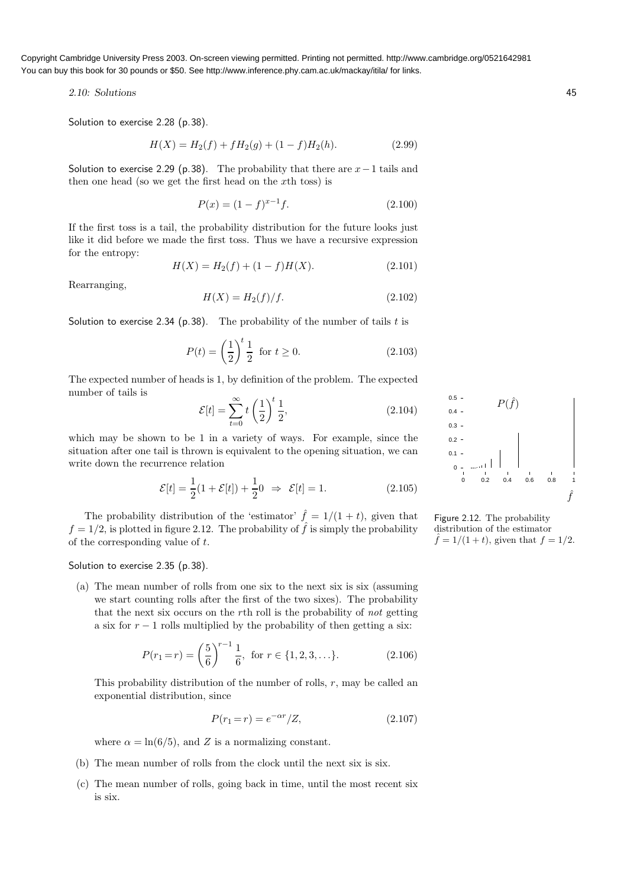2.10: Solutions 45

Solution to exercise 2.28 (p.38).

$$
H(X) = H_2(f) + fH_2(g) + (1 - f)H_2(h).
$$
\n(2.99)

Solution to exercise 2.29 (p.38). The probability that there are  $x-1$  tails and then one head (so we get the first head on the xth toss) is

$$
P(x) = (1 - f)^{x - 1} f.
$$
\n(2.100)

If the first toss is a tail, the probability distribution for the future looks just like it did before we made the first toss. Thus we have a recursive expression for the entropy:

$$
H(X) = H_2(f) + (1 - f)H(X).
$$
\n(2.101)

Rearranging,

$$
H(X) = H_2(f)/f.
$$
 (2.102)

Solution to exercise 2.34 (p.38). The probability of the number of tails  $t$  is

$$
P(t) = \left(\frac{1}{2}\right)^t \frac{1}{2} \text{ for } t \ge 0.
$$
 (2.103)

The expected number of heads is 1, by definition of the problem. The expected number of tails is

$$
\mathcal{E}[t] = \sum_{t=0}^{\infty} t\left(\frac{1}{2}\right)^t \frac{1}{2},\tag{2.104}
$$

which may be shown to be 1 in a variety of ways. For example, since the situation after one tail is thrown is equivalent to the opening situation, we can write down the recurrence relation

$$
\mathcal{E}[t] = \frac{1}{2}(1 + \mathcal{E}[t]) + \frac{1}{2}0 \Rightarrow \mathcal{E}[t] = 1.
$$
 (2.105)

The probability distribution of the 'estimator'  $\hat{f} = 1/(1 + t)$ , given that  $f = 1/2$ , is plotted in figure 2.12. The probability of  $\hat{f}$  is simply the probability of the corresponding value of  $t$ .

Solution to exercise 2.35 (p.38).

(a) The mean number of rolls from one six to the next six is six (assuming we start counting rolls after the first of the two sixes). The probability that the next six occurs on the rth roll is the probability of not getting a six for  $r - 1$  rolls multiplied by the probability of then getting a six:

$$
P(r_1 = r) = \left(\frac{5}{6}\right)^{r-1} \frac{1}{6}, \text{ for } r \in \{1, 2, 3, \ldots\}.
$$
 (2.106)

This probability distribution of the number of rolls,  $r$ , may be called an exponential distribution, since

$$
P(r_1 = r) = e^{-\alpha r}/Z,
$$
\n(2.107)

where  $\alpha = \ln(6/5)$ , and Z is a normalizing constant.

- (b) The mean number of rolls from the clock until the next six is six.
- (c) The mean number of rolls, going back in time, until the most recent six is six.



Figure 2.12. The probability distribution of the estimator  $\hat{f} = 1/(1 + t)$ , given that  $f = 1/2$ .